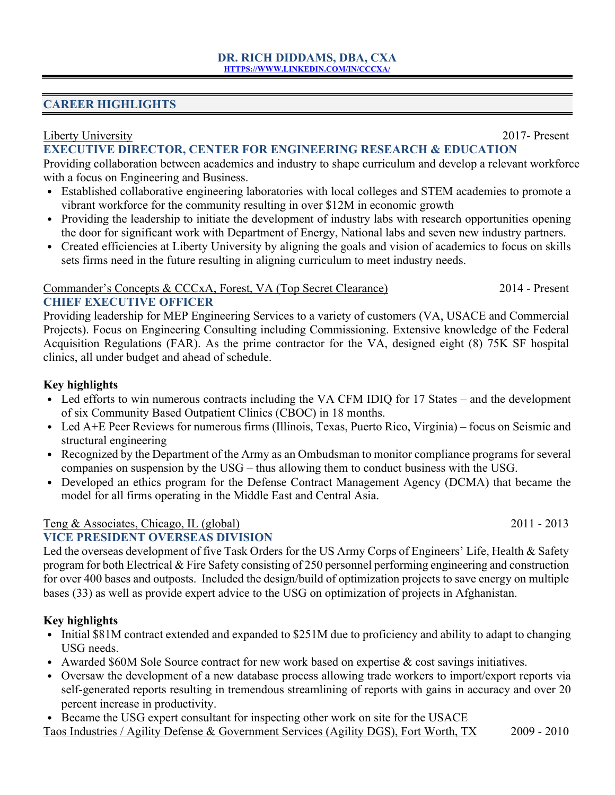### **CAREER HIGHLIGHTS**

### Liberty University 2017- Present

## **EXECUTIVE DIRECTOR, CENTER FOR ENGINEERING RESEARCH & EDUCATION**

Providing collaboration between academics and industry to shape curriculum and develop a relevant workforce with a focus on Engineering and Business.

- Established collaborative engineering laboratories with local colleges and STEM academies to promote a vibrant workforce for the community resulting in over \$12M in economic growth
- Providing the leadership to initiate the development of industry labs with research opportunities opening the door for significant work with Department of Energy, National labs and seven new industry partners.
- Created efficiencies at Liberty University by aligning the goals and vision of academics to focus on skills sets firms need in the future resulting in aligning curriculum to meet industry needs.

#### Commander's Concepts & CCCxA, Forest, VA (Top Secret Clearance) 2014 - Present **CHIEF EXECUTIVE OFFICER**

Providing leadership for MEP Engineering Services to a variety of customers (VA, USACE and Commercial Projects). Focus on Engineering Consulting including Commissioning. Extensive knowledge of the Federal Acquisition Regulations (FAR). As the prime contractor for the VA, designed eight (8) 75K SF hospital clinics, all under budget and ahead of schedule.

### **Key highlights**

- Led efforts to win numerous contracts including the VA CFM IDIQ for 17 States and the development of six Community Based Outpatient Clinics (CBOC) in 18 months.
- Led A+E Peer Reviews for numerous firms (Illinois, Texas, Puerto Rico, Virginia) focus on Seismic and structural engineering
- Recognized by the Department of the Army as an Ombudsman to monitor compliance programs for several companies on suspension by the USG – thus allowing them to conduct business with the USG.
- Developed an ethics program for the Defense Contract Management Agency (DCMA) that became the model for all firms operating in the Middle East and Central Asia.

### Teng & Associates, Chicago, IL (global) 2011 - 2013

### **VICE PRESIDENT OVERSEAS DIVISION**

Led the overseas development of five Task Orders for the US Army Corps of Engineers' Life, Health & Safety program for both Electrical & Fire Safety consisting of 250 personnel performing engineering and construction for over 400 bases and outposts. Included the design/build of optimization projects to save energy on multiple bases (33) as well as provide expert advice to the USG on optimization of projects in Afghanistan.

## **Key highlights**

- Initial \$81M contract extended and expanded to \$251M due to proficiency and ability to adapt to changing USG needs.
- Awarded \$60M Sole Source contract for new work based on expertise & cost savings initiatives.
- Oversaw the development of a new database process allowing trade workers to import/export reports via self-generated reports resulting in tremendous streamlining of reports with gains in accuracy and over 20 percent increase in productivity.
- Became the USG expert consultant for inspecting other work on site for the USACE

Taos Industries / Agility Defense & Government Services (Agility DGS), Fort Worth, TX 2009 - 2010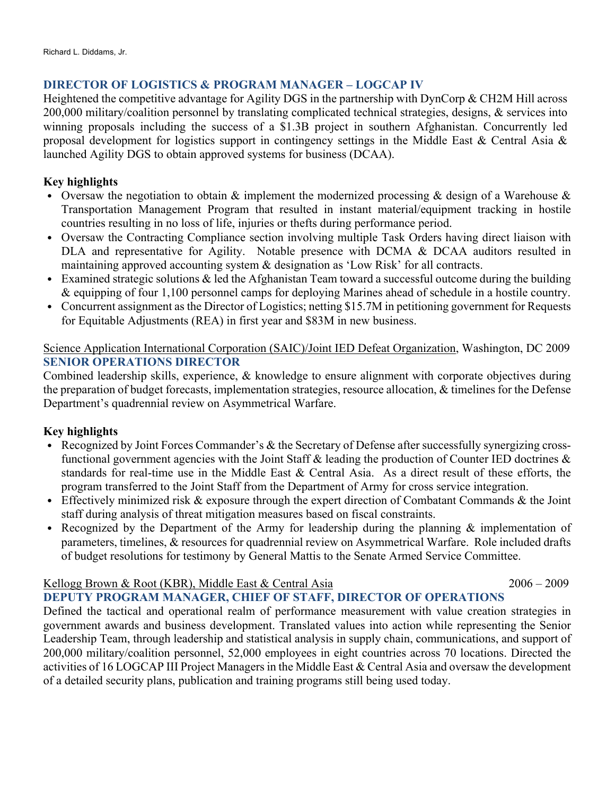# **DIRECTOR OF LOGISTICS & PROGRAM MANAGER – LOGCAP IV**

Heightened the competitive advantage for Agility DGS in the partnership with DynCorp & CH2M Hill across 200,000 military/coalition personnel by translating complicated technical strategies, designs, & services into winning proposals including the success of a \$1.3B project in southern Afghanistan. Concurrently led proposal development for logistics support in contingency settings in the Middle East & Central Asia & launched Agility DGS to obtain approved systems for business (DCAA).

# **Key highlights**

- Oversaw the negotiation to obtain & implement the modernized processing & design of a Warehouse & Transportation Management Program that resulted in instant material/equipment tracking in hostile countries resulting in no loss of life, injuries or thefts during performance period.
- Oversaw the Contracting Compliance section involving multiple Task Orders having direct liaison with DLA and representative for Agility. Notable presence with DCMA & DCAA auditors resulted in maintaining approved accounting system & designation as 'Low Risk' for all contracts.
- Examined strategic solutions & led the Afghanistan Team toward a successful outcome during the building & equipping of four 1,100 personnel camps for deploying Marines ahead of schedule in a hostile country.
- Concurrent assignment as the Director of Logistics; netting \$15.7M in petitioning government for Requests for Equitable Adjustments (REA) in first year and \$83M in new business.

### Science Application International Corporation (SAIC)/Joint IED Defeat Organization, Washington, DC 2009 **SENIOR OPERATIONS DIRECTOR**

Combined leadership skills, experience, & knowledge to ensure alignment with corporate objectives during the preparation of budget forecasts, implementation strategies, resource allocation, & timelines for the Defense Department's quadrennial review on Asymmetrical Warfare.

## **Key highlights**

- Recognized by Joint Forces Commander's & the Secretary of Defense after successfully synergizing crossfunctional government agencies with the Joint Staff & leading the production of Counter IED doctrines & standards for real-time use in the Middle East & Central Asia. As a direct result of these efforts, the program transferred to the Joint Staff from the Department of Army for cross service integration.
- Effectively minimized risk & exposure through the expert direction of Combatant Commands & the Joint staff during analysis of threat mitigation measures based on fiscal constraints.
- Recognized by the Department of the Army for leadership during the planning & implementation of parameters, timelines, & resources for quadrennial review on Asymmetrical Warfare. Role included drafts of budget resolutions for testimony by General Mattis to the Senate Armed Service Committee.

### Kellogg Brown & Root (KBR), Middle East & Central Asia 2006 – 2009

# **DEPUTY PROGRAM MANAGER, CHIEF OF STAFF, DIRECTOR OF OPERATIONS**

Defined the tactical and operational realm of performance measurement with value creation strategies in government awards and business development. Translated values into action while representing the Senior Leadership Team, through leadership and statistical analysis in supply chain, communications, and support of 200,000 military/coalition personnel, 52,000 employees in eight countries across 70 locations. Directed the activities of 16 LOGCAP III Project Managers in the Middle East & Central Asia and oversaw the development of a detailed security plans, publication and training programs still being used today.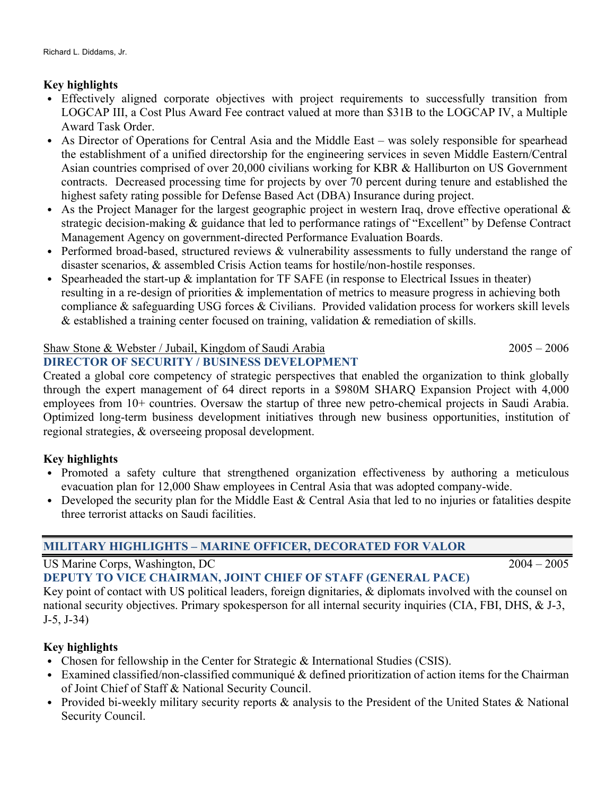## **Key highlights**

- Effectively aligned corporate objectives with project requirements to successfully transition from LOGCAP III, a Cost Plus Award Fee contract valued at more than \$31B to the LOGCAP IV, a Multiple Award Task Order.
- As Director of Operations for Central Asia and the Middle East was solely responsible for spearhead the establishment of a unified directorship for the engineering services in seven Middle Eastern/Central Asian countries comprised of over 20,000 civilians working for KBR & Halliburton on US Government contracts. Decreased processing time for projects by over 70 percent during tenure and established the highest safety rating possible for Defense Based Act (DBA) Insurance during project.
- As the Project Manager for the largest geographic project in western Iraq, drove effective operational & strategic decision-making & guidance that led to performance ratings of "Excellent" by Defense Contract Management Agency on government-directed Performance Evaluation Boards.
- Performed broad-based, structured reviews & vulnerability assessments to fully understand the range of disaster scenarios, & assembled Crisis Action teams for hostile/non-hostile responses.
- Spearheaded the start-up  $\&$  implantation for TF SAFE (in response to Electrical Issues in theater) resulting in a re-design of priorities & implementation of metrics to measure progress in achieving both compliance & safeguarding USG forces & Civilians. Provided validation process for workers skill levels & established a training center focused on training, validation & remediation of skills.

# Shaw Stone & Webster / Jubail, Kingdom of Saudi Arabia 2005 – 2006

### **DIRECTOR OF SECURITY / BUSINESS DEVELOPMENT**

Created a global core competency of strategic perspectives that enabled the organization to think globally through the expert management of 64 direct reports in a \$980M SHARQ Expansion Project with 4,000 employees from 10+ countries. Oversaw the startup of three new petro-chemical projects in Saudi Arabia. Optimized long-term business development initiatives through new business opportunities, institution of regional strategies, & overseeing proposal development.

## **Key highlights**

- Promoted a safety culture that strengthened organization effectiveness by authoring a meticulous evacuation plan for 12,000 Shaw employees in Central Asia that was adopted company-wide.
- Developed the security plan for the Middle East & Central Asia that led to no injuries or fatalities despite three terrorist attacks on Saudi facilities.

# **MILITARY HIGHLIGHTS – MARINE OFFICER, DECORATED FOR VALOR**

US Marine Corps, Washington, DC 2004 – 2005

**DEPUTY TO VICE CHAIRMAN, JOINT CHIEF OF STAFF (GENERAL PACE)**

Key point of contact with US political leaders, foreign dignitaries, & diplomats involved with the counsel on national security objectives. Primary spokesperson for all internal security inquiries (CIA, FBI, DHS, & J-3, J-5, J-34)

## **Key highlights**

- Chosen for fellowship in the Center for Strategic & International Studies (CSIS).
- Examined classified/non-classified communiqué & defined prioritization of action items for the Chairman of Joint Chief of Staff & National Security Council.
- Provided bi-weekly military security reports  $\&$  analysis to the President of the United States  $\&$  National Security Council.